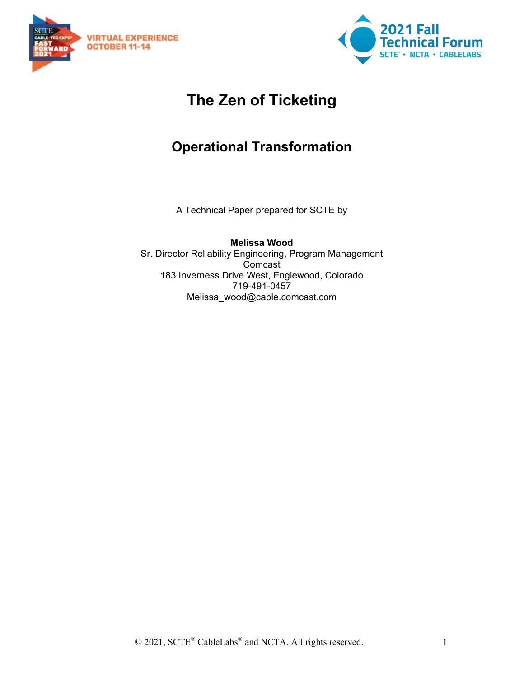



# **The Zen of Ticketing**

# **Operational Transformation**

A Technical Paper prepared for SCTE by

**Melissa Wood** Sr. Director Reliability Engineering, Program Management Comcast 183 Inverness Drive West, Englewood, Colorado 719-491-0457 Melissa\_wood@cable.comcast.com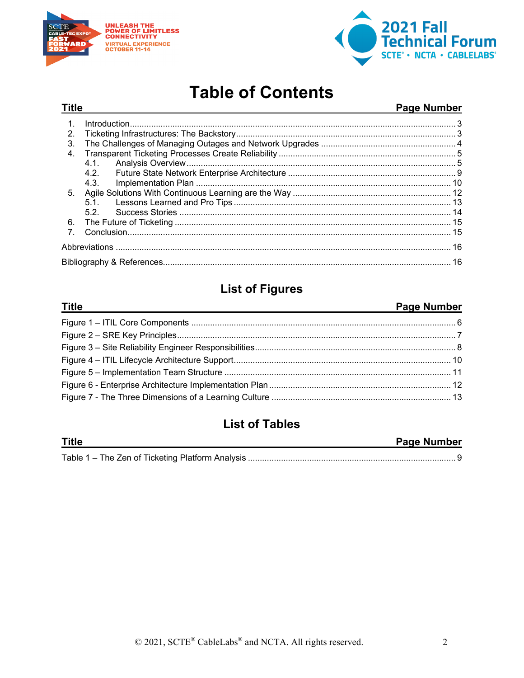



# **Table of Contents**

### Page Number

| 2.             |      |  |  |  |  |  |  |
|----------------|------|--|--|--|--|--|--|
| 3.             |      |  |  |  |  |  |  |
| $\mathbf{4}$   |      |  |  |  |  |  |  |
|                |      |  |  |  |  |  |  |
|                | 4.2. |  |  |  |  |  |  |
|                | 4.3. |  |  |  |  |  |  |
| 5 <sub>1</sub> |      |  |  |  |  |  |  |
|                |      |  |  |  |  |  |  |
|                | 52   |  |  |  |  |  |  |
| 6.             |      |  |  |  |  |  |  |
| $\overline{7}$ |      |  |  |  |  |  |  |
|                |      |  |  |  |  |  |  |
|                |      |  |  |  |  |  |  |
|                |      |  |  |  |  |  |  |

## **List of Figures**

#### **Title**

**Title** 

### Page Number

### **List of Tables**

| <b>Title</b> | <b>Page Number</b> |
|--------------|--------------------|
|              |                    |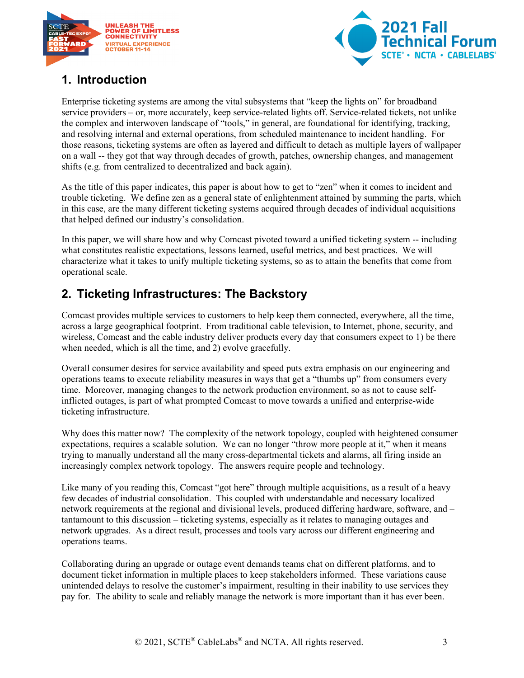



## <span id="page-2-0"></span>**1. Introduction**

Enterprise ticketing systems are among the vital subsystems that "keep the lights on" for broadband service providers – or, more accurately, keep service-related lights off. Service-related tickets, not unlike the complex and interwoven landscape of "tools," in general, are foundational for identifying, tracking, and resolving internal and external operations, from scheduled maintenance to incident handling. For those reasons, ticketing systems are often as layered and difficult to detach as multiple layers of wallpaper on a wall -- they got that way through decades of growth, patches, ownership changes, and management shifts (e.g. from centralized to decentralized and back again).

As the title of this paper indicates, this paper is about how to get to "zen" when it comes to incident and trouble ticketing. We define zen as a general state of enlightenment attained by summing the parts, which in this case, are the many different ticketing systems acquired through decades of individual acquisitions that helped defined our industry's consolidation.

In this paper, we will share how and why Comcast pivoted toward a unified ticketing system -- including what constitutes realistic expectations, lessons learned, useful metrics, and best practices. We will characterize what it takes to unify multiple ticketing systems, so as to attain the benefits that come from operational scale.

## <span id="page-2-1"></span>**2. Ticketing Infrastructures: The Backstory**

Comcast provides multiple services to customers to help keep them connected, everywhere, all the time, across a large geographical footprint. From traditional cable television, to Internet, phone, security, and wireless, Comcast and the cable industry deliver products every day that consumers expect to 1) be there when needed, which is all the time, and 2) evolve gracefully.

Overall consumer desires for service availability and speed puts extra emphasis on our engineering and operations teams to execute reliability measures in ways that get a "thumbs up" from consumers every time. Moreover, managing changes to the network production environment, so as not to cause selfinflicted outages, is part of what prompted Comcast to move towards a unified and enterprise-wide ticketing infrastructure.

Why does this matter now? The complexity of the network topology, coupled with heightened consumer expectations, requires a scalable solution. We can no longer "throw more people at it," when it means trying to manually understand all the many cross-departmental tickets and alarms, all firing inside an increasingly complex network topology. The answers require people and technology.

Like many of you reading this, Comcast "got here" through multiple acquisitions, as a result of a heavy few decades of industrial consolidation. This coupled with understandable and necessary localized network requirements at the regional and divisional levels, produced differing hardware, software, and – tantamount to this discussion – ticketing systems, especially as it relates to managing outages and network upgrades. As a direct result, processes and tools vary across our different engineering and operations teams.

Collaborating during an upgrade or outage event demands teams chat on different platforms, and to document ticket information in multiple places to keep stakeholders informed. These variations cause unintended delays to resolve the customer's impairment, resulting in their inability to use services they pay for. The ability to scale and reliably manage the network is more important than it has ever been.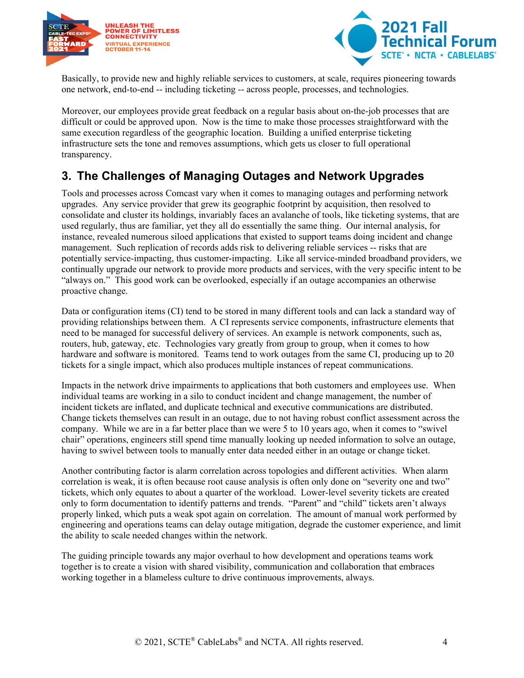



Basically, to provide new and highly reliable services to customers, at scale, requires pioneering towards one network, end-to-end -- including ticketing -- across people, processes, and technologies.

Moreover, our employees provide great feedback on a regular basis about on-the-job processes that are difficult or could be approved upon. Now is the time to make those processes straightforward with the same execution regardless of the geographic location. Building a unified enterprise ticketing infrastructure sets the tone and removes assumptions, which gets us closer to full operational transparency.

### <span id="page-3-0"></span>**3. The Challenges of Managing Outages and Network Upgrades**

Tools and processes across Comcast vary when it comes to managing outages and performing network upgrades. Any service provider that grew its geographic footprint by acquisition, then resolved to consolidate and cluster its holdings, invariably faces an avalanche of tools, like ticketing systems, that are used regularly, thus are familiar, yet they all do essentially the same thing. Our internal analysis, for instance, revealed numerous siloed applications that existed to support teams doing incident and change management. Such replication of records adds risk to delivering reliable services -- risks that are potentially service-impacting, thus customer-impacting. Like all service-minded broadband providers, we continually upgrade our network to provide more products and services, with the very specific intent to be "always on." This good work can be overlooked, especially if an outage accompanies an otherwise proactive change.

Data or configuration items (CI) tend to be stored in many different tools and can lack a standard way of providing relationships between them. A CI represents service components, infrastructure elements that need to be managed for successful delivery of services. An example is network components, such as, routers, hub, gateway, etc. Technologies vary greatly from group to group, when it comes to how hardware and software is monitored. Teams tend to work outages from the same CI, producing up to 20 tickets for a single impact, which also produces multiple instances of repeat communications.

Impacts in the network drive impairments to applications that both customers and employees use. When individual teams are working in a silo to conduct incident and change management, the number of incident tickets are inflated, and duplicate technical and executive communications are distributed. Change tickets themselves can result in an outage, due to not having robust conflict assessment across the company. While we are in a far better place than we were 5 to 10 years ago, when it comes to "swivel chair" operations, engineers still spend time manually looking up needed information to solve an outage, having to swivel between tools to manually enter data needed either in an outage or change ticket.

Another contributing factor is alarm correlation across topologies and different activities. When alarm correlation is weak, it is often because root cause analysis is often only done on "severity one and two" tickets, which only equates to about a quarter of the workload. Lower-level severity tickets are created only to form documentation to identify patterns and trends. "Parent" and "child" tickets aren't always properly linked, which puts a weak spot again on correlation. The amount of manual work performed by engineering and operations teams can delay outage mitigation, degrade the customer experience, and limit the ability to scale needed changes within the network.

The guiding principle towards any major overhaul to how development and operations teams work together is to create a vision with shared visibility, communication and collaboration that embraces working together in a blameless culture to drive continuous improvements, always.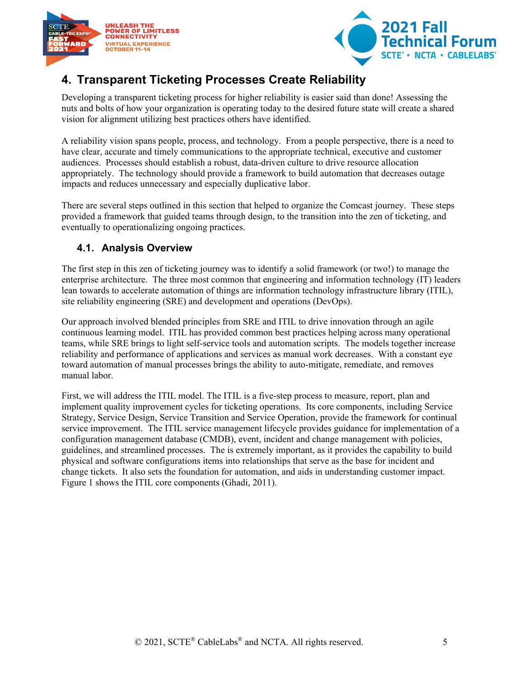



## <span id="page-4-0"></span>**4. Transparent Ticketing Processes Create Reliability**

Developing a transparent ticketing process for higher reliability is easier said than done! Assessing the nuts and bolts of how your organization is operating today to the desired future state will create a shared vision for alignment utilizing best practices others have identified.

A reliability vision spans people, process, and technology. From a people perspective, there is a need to have clear, accurate and timely communications to the appropriate technical, executive and customer audiences. Processes should establish a robust, data-driven culture to drive resource allocation appropriately. The technology should provide a framework to build automation that decreases outage impacts and reduces unnecessary and especially duplicative labor.

There are several steps outlined in this section that helped to organize the Comcast journey. These steps provided a framework that guided teams through design, to the transition into the zen of ticketing, and eventually to operationalizing ongoing practices.

### <span id="page-4-1"></span>**4.1. Analysis Overview**

The first step in this zen of ticketing journey was to identify a solid framework (or two!) to manage the enterprise architecture. The three most common that engineering and information technology (IT) leaders lean towards to accelerate automation of things are information technology infrastructure library (ITIL), site reliability engineering (SRE) and development and operations (DevOps).

Our approach involved blended principles from SRE and ITIL to drive innovation through an agile continuous learning model. ITIL has provided common best practices helping across many operational teams, while SRE brings to light self-service tools and automation scripts. The models together increase reliability and performance of applications and services as manual work decreases. With a constant eye toward automation of manual processes brings the ability to auto-mitigate, remediate, and removes manual labor.

First, we will address the ITIL model. The ITIL is a five-step process to measure, report, plan and implement quality improvement cycles for ticketing operations. Its core components, including Service Strategy, Service Design, Service Transition and Service Operation, provide the framework for continual service improvement. The ITIL service management lifecycle provides guidance for implementation of a configuration management database (CMDB), event, incident and change management with policies, guidelines, and streamlined processes. The is extremely important, as it provides the capability to build physical and software configurations items into relationships that serve as the base for incident and change tickets. It also sets the foundation for automation, and aids in understanding customer impact. Figure 1 shows the ITIL core components (Ghadi, 2011).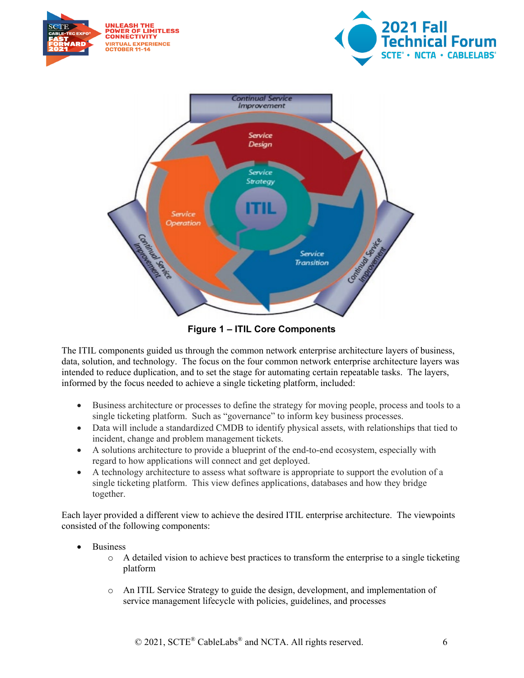

**Figure 1 – ITIL Core Components**

<span id="page-5-0"></span>The ITIL components guided us through the common network enterprise architecture layers of business, data, solution, and technology. The focus on the four common network enterprise architecture layers was intended to reduce duplication, and to set the stage for automating certain repeatable tasks. The layers, informed by the focus needed to achieve a single ticketing platform, included:

- Business architecture or processes to define the strategy for moving people, process and tools to a single ticketing platform. Such as "governance" to inform key business processes.
- Data will include a standardized CMDB to identify physical assets, with relationships that tied to incident, change and problem management tickets.
- A solutions architecture to provide a blueprint of the end-to-end ecosystem, especially with regard to how applications will connect and get deployed.
- A technology architecture to assess what software is appropriate to support the evolution of a single ticketing platform. This view defines applications, databases and how they bridge together.

Each layer provided a different view to achieve the desired ITIL enterprise architecture. The viewpoints consisted of the following components:

- **Business** 
	- $\circ$  A detailed vision to achieve best practices to transform the enterprise to a single ticketing platform
	- o An ITIL Service Strategy to guide the design, development, and implementation of service management lifecycle with policies, guidelines, and processes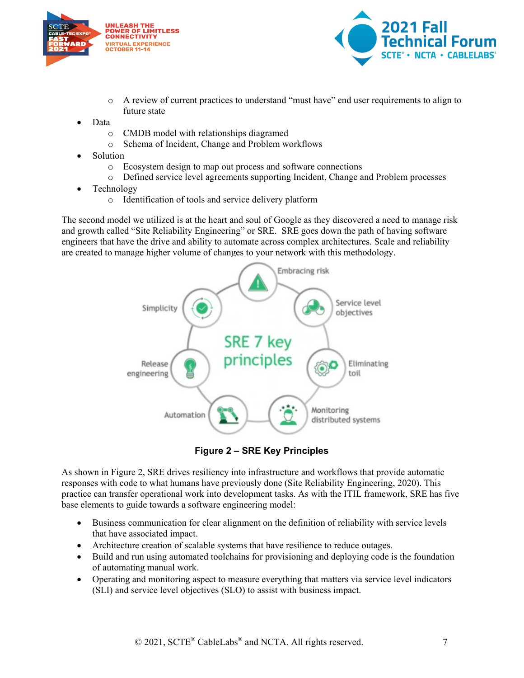



- o A review of current practices to understand "must have" end user requirements to align to future state
- Data
	- o CMDB model with relationships diagramed
	- o Schema of Incident, Change and Problem workflows
- **Solution** 
	- o Ecosystem design to map out process and software connections
	- o Defined service level agreements supporting Incident, Change and Problem processes
- Technology
	- o Identification of tools and service delivery platform

The second model we utilized is at the heart and soul of Google as they discovered a need to manage risk and growth called "Site Reliability Engineering" or SRE. SRE goes down the path of having software engineers that have the drive and ability to automate across complex architectures. Scale and reliability are created to manage higher volume of changes to your network with this methodology.



**Figure 2 – SRE Key Principles**

<span id="page-6-0"></span>As shown in Figure 2, SRE drives resiliency into infrastructure and workflows that provide automatic responses with code to what humans have previously done (Site Reliability Engineering, 2020). This practice can transfer operational work into development tasks. As with the ITIL framework, SRE has five base elements to guide towards a software engineering model:

- Business communication for clear alignment on the definition of reliability with service levels that have associated impact.
- Architecture creation of scalable systems that have resilience to reduce outages.
- Build and run using automated toolchains for provisioning and deploying code is the foundation of automating manual work.
- Operating and monitoring aspect to measure everything that matters via service level indicators (SLI) and service level objectives (SLO) to assist with business impact.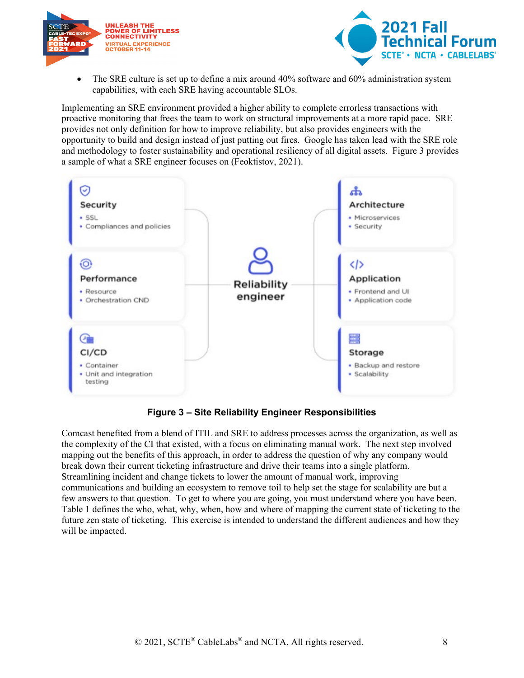



• The SRE culture is set up to define a mix around 40% software and 60% administration system capabilities, with each SRE having accountable SLOs.

Implementing an SRE environment provided a higher ability to complete errorless transactions with proactive monitoring that frees the team to work on structural improvements at a more rapid pace. SRE provides not only definition for how to improve reliability, but also provides engineers with the opportunity to build and design instead of just putting out fires. Google has taken lead with the SRE role and methodology to foster sustainability and operational resiliency of all digital assets. Figure 3 provides a sample of what a SRE engineer focuses on (Feoktistov, 2021).



#### **Figure 3 – Site Reliability Engineer Responsibilities**

<span id="page-7-0"></span>Comcast benefited from a blend of ITIL and SRE to address processes across the organization, as well as the complexity of the CI that existed, with a focus on eliminating manual work. The next step involved mapping out the benefits of this approach, in order to address the question of why any company would break down their current ticketing infrastructure and drive their teams into a single platform. Streamlining incident and change tickets to lower the amount of manual work, improving communications and building an ecosystem to remove toil to help set the stage for scalability are but a few answers to that question. To get to where you are going, you must understand where you have been. Table 1 defines the who, what, why, when, how and where of mapping the current state of ticketing to the future zen state of ticketing. This exercise is intended to understand the different audiences and how they will be impacted.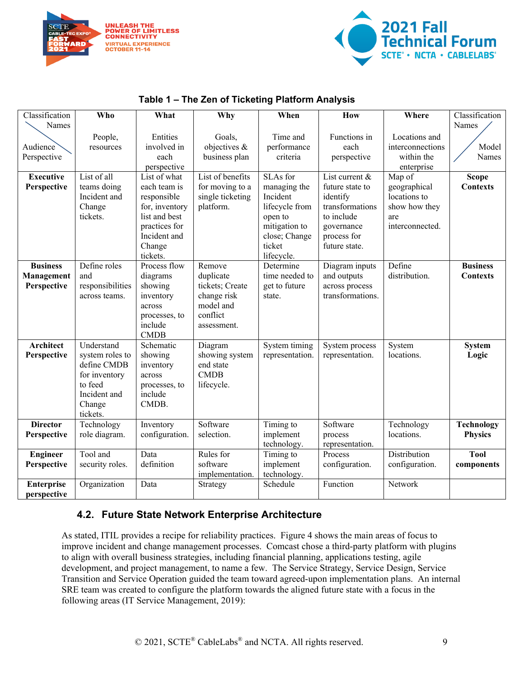



#### **Table 1 – The Zen of Ticketing Platform Analysis**

<span id="page-8-1"></span>

| Classification                                                | Who                           | What                                      | Why              | When            | How              | Where            | Classification    |  |
|---------------------------------------------------------------|-------------------------------|-------------------------------------------|------------------|-----------------|------------------|------------------|-------------------|--|
| Names                                                         |                               |                                           |                  |                 |                  |                  | Names             |  |
|                                                               | Entities<br>People,<br>Goals, |                                           |                  | Time and        | Functions in     | Locations and    |                   |  |
| Audience                                                      | involved in<br>resources      |                                           | objectives &     | performance     | each             | interconnections | Model             |  |
| Perspective                                                   |                               | each                                      | business plan    | criteria        | perspective      | within the       | Names             |  |
|                                                               |                               | perspective                               |                  |                 |                  | enterprise       |                   |  |
| <b>Executive</b>                                              | List of all                   | List of what                              | List of benefits | SLAs for        | List current &   | Map of           | <b>Scope</b>      |  |
| Perspective                                                   | teams doing                   | each team is                              | for moving to a  | managing the    | future state to  | geographical     | <b>Contexts</b>   |  |
|                                                               | Incident and                  | responsible                               | single ticketing | Incident        | identify         | locations to     |                   |  |
|                                                               | Change                        | for, inventory                            | platform.        | lifecycle from  | transformations  | show how they    |                   |  |
|                                                               | tickets.                      | list and best                             |                  | open to         | to include       | are              |                   |  |
|                                                               |                               | practices for                             |                  | mitigation to   | governance       | interconnected.  |                   |  |
|                                                               |                               | Incident and                              |                  | close; Change   | process for      |                  |                   |  |
|                                                               |                               | Change                                    |                  | ticket          | future state.    |                  |                   |  |
|                                                               |                               | tickets.                                  |                  | lifecycle.      |                  |                  |                   |  |
| <b>Business</b>                                               | Define roles                  | Process flow                              | Remove           | Determine       | Diagram inputs   | Define           | <b>Business</b>   |  |
| Management                                                    | and                           | diagrams                                  | duplicate        | time needed to  | and outputs      | distribution.    | <b>Contexts</b>   |  |
| responsibilities<br>tickets; Create<br>Perspective<br>showing |                               |                                           |                  | get to future   | across process   |                  |                   |  |
|                                                               | across teams.                 | inventory                                 | change risk      | state.          | transformations. |                  |                   |  |
|                                                               |                               | across                                    | model and        |                 |                  |                  |                   |  |
|                                                               |                               | processes, to                             | conflict         |                 |                  |                  |                   |  |
|                                                               |                               | include                                   | assessment.      |                 |                  |                  |                   |  |
|                                                               |                               | <b>CMDB</b>                               |                  |                 |                  |                  |                   |  |
| <b>Architect</b>                                              | Understand                    | Schematic                                 | Diagram          | System timing   | System process   | System           | <b>System</b>     |  |
| Perspective                                                   | system roles to               | showing                                   | showing system   | representation. | representation.  | locations.       | Logic             |  |
|                                                               | define CMDB                   | inventory                                 | end state        |                 |                  |                  |                   |  |
|                                                               | for inventory                 | across                                    | <b>CMDB</b>      |                 |                  |                  |                   |  |
|                                                               | to feed                       | processes, to                             | lifecycle.       |                 |                  |                  |                   |  |
|                                                               | Incident and                  | include                                   |                  |                 |                  |                  |                   |  |
|                                                               | Change                        | CMDB.                                     |                  |                 |                  |                  |                   |  |
|                                                               | tickets.                      |                                           |                  |                 |                  |                  |                   |  |
| <b>Director</b>                                               | Technology                    | Inventory                                 | Software         | Timing to       | Software         | Technology       | <b>Technology</b> |  |
| Perspective                                                   | role diagram.                 | configuration.                            | selection.       | implement       | process          | locations.       | <b>Physics</b>    |  |
|                                                               |                               |                                           |                  | technology.     | representation.  |                  |                   |  |
| <b>Engineer</b>                                               | Tool and                      | Data                                      | Rules for        | Timing to       | Process          | Distribution     | <b>Tool</b>       |  |
| Perspective                                                   |                               | definition<br>software<br>security roles. |                  | implement       | configuration.   | configuration.   | components        |  |
|                                                               |                               |                                           | implementation.  | technology.     |                  |                  |                   |  |
| <b>Enterprise</b>                                             | Organization                  | Data                                      | Strategy         | Schedule        | Function         | Network          |                   |  |
| perspective                                                   |                               |                                           |                  |                 |                  |                  |                   |  |

### <span id="page-8-0"></span>**4.2. Future State Network Enterprise Architecture**

As stated, ITIL provides a recipe for reliability practices. Figure 4 shows the main areas of focus to improve incident and change management processes. Comcast chose a third-party platform with plugins to align with overall business strategies, including financial planning, applications testing, agile development, and project management, to name a few. The Service Strategy, Service Design, Service Transition and Service Operation guided the team toward agreed-upon implementation plans. An internal SRE team was created to configure the platform towards the aligned future state with a focus in the following areas (IT Service Management, 2019):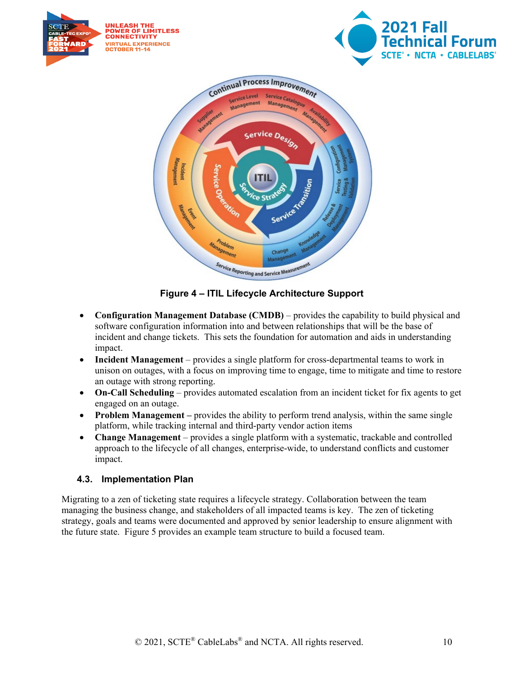

**Figure 4 – ITIL Lifecycle Architecture Support**

- <span id="page-9-1"></span>• **Configuration Management Database (CMDB)** – provides the capability to build physical and software configuration information into and between relationships that will be the base of incident and change tickets. This sets the foundation for automation and aids in understanding impact.
- **Incident Management** provides a single platform for cross-departmental teams to work in unison on outages, with a focus on improving time to engage, time to mitigate and time to restore an outage with strong reporting.
- **On-Call Scheduling** provides automated escalation from an incident ticket for fix agents to get engaged on an outage.
- **Problem Management** provides the ability to perform trend analysis, within the same single platform, while tracking internal and third-party vendor action items
- **Change Management** provides a single platform with a systematic, trackable and controlled approach to the lifecycle of all changes, enterprise-wide, to understand conflicts and customer impact.

#### <span id="page-9-0"></span>**4.3. Implementation Plan**

Migrating to a zen of ticketing state requires a lifecycle strategy. Collaboration between the team managing the business change, and stakeholders of all impacted teams is key. The zen of ticketing strategy, goals and teams were documented and approved by senior leadership to ensure alignment with the future state. Figure 5 provides an example team structure to build a focused team.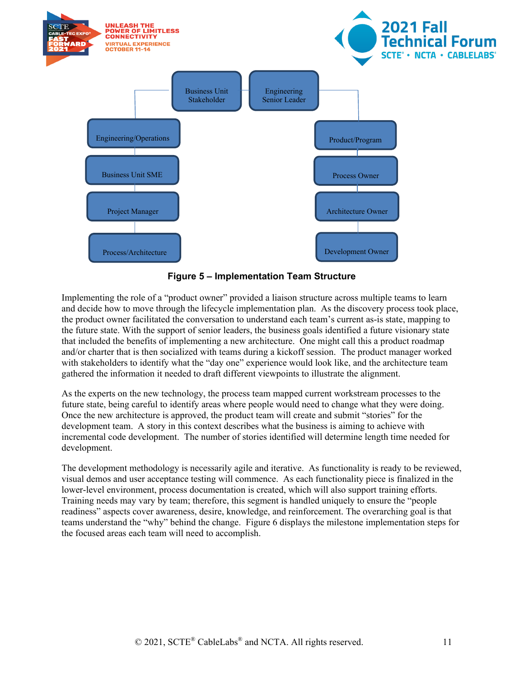



<span id="page-10-0"></span>Implementing the role of a "product owner" provided a liaison structure across multiple teams to learn and decide how to move through the lifecycle implementation plan. As the discovery process took place, the product owner facilitated the conversation to understand each team's current as-is state, mapping to the future state. With the support of senior leaders, the business goals identified a future visionary state that included the benefits of implementing a new architecture. One might call this a product roadmap and/or charter that is then socialized with teams during a kickoff session. The product manager worked with stakeholders to identify what the "day one" experience would look like, and the architecture team gathered the information it needed to draft different viewpoints to illustrate the alignment.

As the experts on the new technology, the process team mapped current workstream processes to the future state, being careful to identify areas where people would need to change what they were doing. Once the new architecture is approved, the product team will create and submit "stories" for the development team. A story in this context describes what the business is aiming to achieve with incremental code development. The number of stories identified will determine length time needed for development.

The development methodology is necessarily agile and iterative. As functionality is ready to be reviewed, visual demos and user acceptance testing will commence. As each functionality piece is finalized in the lower-level environment, process documentation is created, which will also support training efforts. Training needs may vary by team; therefore, this segment is handled uniquely to ensure the "people readiness" aspects cover awareness, desire, knowledge, and reinforcement. The overarching goal is that teams understand the "why" behind the change. Figure 6 displays the milestone implementation steps for the focused areas each team will need to accomplish.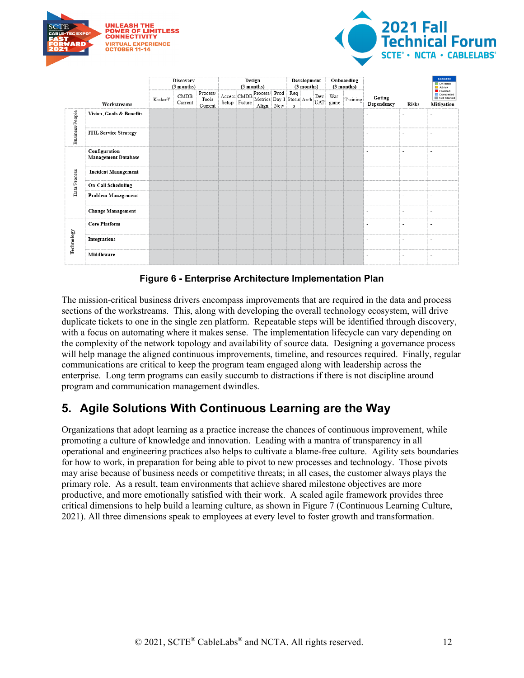



| Workstreams     |                                             | <b>Discovery</b><br>(3 months) |                 |                              | Design<br>$(3$ months) |  |                                                | Development<br>(3 months) |   |  | Onboarding<br>(3 months) |              |          |                          | <b>LEGEND</b><br>On track<br>At risk |                                                   |
|-----------------|---------------------------------------------|--------------------------------|-----------------|------------------------------|------------------------|--|------------------------------------------------|---------------------------|---|--|--------------------------|--------------|----------|--------------------------|--------------------------------------|---------------------------------------------------|
|                 |                                             | Kickoff                        | CMDB<br>Current | Process/<br>Tools<br>Current |                        |  | Access CMDB Process/ Prod Req Dev<br>Align New |                           | S |  |                          | War-<br>game | Training | Gating<br>Dependency     | <b>Risks</b>                         | Blocked<br>Completed<br>Not Started<br>Mitigation |
| Business/People | Vision, Goals & Benefits                    |                                |                 |                              |                        |  |                                                |                           |   |  |                          |              |          |                          |                                      |                                                   |
|                 | <b>ITIL Service Strategy</b>                |                                |                 |                              |                        |  |                                                |                           |   |  |                          |              |          |                          |                                      |                                                   |
| Data/Process    | Configuration<br><b>Management Database</b> |                                |                 |                              |                        |  |                                                |                           |   |  |                          |              |          |                          |                                      |                                                   |
|                 | <b>Incident Management</b>                  |                                |                 |                              |                        |  |                                                |                           |   |  |                          |              |          | ٠                        |                                      |                                                   |
|                 | <b>On-Call Scheduling</b>                   |                                |                 |                              |                        |  |                                                |                           |   |  |                          |              |          |                          |                                      |                                                   |
|                 | Problem Management                          |                                |                 |                              |                        |  |                                                |                           |   |  |                          |              |          |                          |                                      |                                                   |
|                 | <b>Change Management</b>                    |                                |                 |                              |                        |  |                                                |                           |   |  |                          |              |          | $\overline{\phantom{0}}$ | $\overline{\phantom{0}}$             |                                                   |
|                 | <b>Core Platform</b>                        |                                |                 |                              |                        |  |                                                |                           |   |  |                          |              |          |                          |                                      |                                                   |
| Technology      | Integrations                                |                                |                 |                              |                        |  |                                                |                           |   |  |                          |              |          |                          |                                      |                                                   |
|                 | Middleware                                  |                                |                 |                              |                        |  |                                                |                           |   |  |                          |              |          |                          |                                      |                                                   |

**Figure 6 - Enterprise Architecture Implementation Plan**

<span id="page-11-1"></span>The mission-critical business drivers encompass improvements that are required in the data and process sections of the workstreams. This, along with developing the overall technology ecosystem, will drive duplicate tickets to one in the single zen platform. Repeatable steps will be identified through discovery, with a focus on automating where it makes sense. The implementation lifecycle can vary depending on the complexity of the network topology and availability of source data. Designing a governance process will help manage the aligned continuous improvements, timeline, and resources required. Finally, regular communications are critical to keep the program team engaged along with leadership across the enterprise. Long term programs can easily succumb to distractions if there is not discipline around program and communication management dwindles.

### <span id="page-11-0"></span>**5. Agile Solutions With Continuous Learning are the Way**

Organizations that adopt learning as a practice increase the chances of continuous improvement, while promoting a culture of knowledge and innovation. Leading with a mantra of transparency in all operational and engineering practices also helps to cultivate a blame-free culture. Agility sets boundaries for how to work, in preparation for being able to pivot to new processes and technology. Those pivots may arise because of business needs or competitive threats; in all cases, the customer always plays the primary role. As a result, team environments that achieve shared milestone objectives are more productive, and more emotionally satisfied with their work. A scaled agile framework provides three critical dimensions to help build a learning culture, as shown in Figure 7 (Continuous Learning Culture, 2021). All three dimensions speak to employees at every level to foster growth and transformation.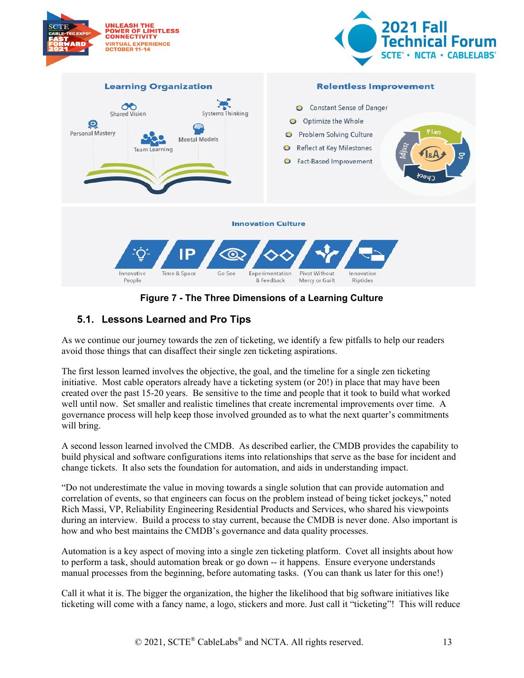

**Figure 7 - The Three Dimensions of a Learning Culture**

### <span id="page-12-1"></span><span id="page-12-0"></span>**5.1. Lessons Learned and Pro Tips**

As we continue our journey towards the zen of ticketing, we identify a few pitfalls to help our readers avoid those things that can disaffect their single zen ticketing aspirations.

The first lesson learned involves the objective, the goal, and the timeline for a single zen ticketing initiative. Most cable operators already have a ticketing system (or 20!) in place that may have been created over the past 15-20 years. Be sensitive to the time and people that it took to build what worked well until now. Set smaller and realistic timelines that create incremental improvements over time. A governance process will help keep those involved grounded as to what the next quarter's commitments will bring.

A second lesson learned involved the CMDB. As described earlier, the CMDB provides the capability to build physical and software configurations items into relationships that serve as the base for incident and change tickets. It also sets the foundation for automation, and aids in understanding impact.

"Do not underestimate the value in moving towards a single solution that can provide automation and correlation of events, so that engineers can focus on the problem instead of being ticket jockeys," noted Rich Massi, VP, Reliability Engineering Residential Products and Services, who shared his viewpoints during an interview. Build a process to stay current, because the CMDB is never done. Also important is how and who best maintains the CMDB's governance and data quality processes.

Automation is a key aspect of moving into a single zen ticketing platform. Covet all insights about how to perform a task, should automation break or go down -- it happens. Ensure everyone understands manual processes from the beginning, before automating tasks. (You can thank us later for this one!)

Call it what it is. The bigger the organization, the higher the likelihood that big software initiatives like ticketing will come with a fancy name, a logo, stickers and more. Just call it "ticketing"! This will reduce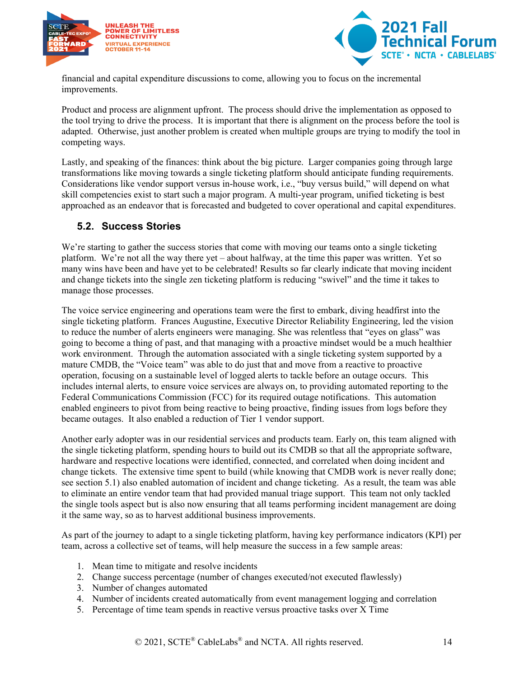



financial and capital expenditure discussions to come, allowing you to focus on the incremental improvements.

Product and process are alignment upfront. The process should drive the implementation as opposed to the tool trying to drive the process. It is important that there is alignment on the process before the tool is adapted. Otherwise, just another problem is created when multiple groups are trying to modify the tool in competing ways.

Lastly, and speaking of the finances: think about the big picture. Larger companies going through large transformations like moving towards a single ticketing platform should anticipate funding requirements. Considerations like vendor support versus in-house work, i.e., "buy versus build," will depend on what skill competencies exist to start such a major program. A multi-year program, unified ticketing is best approached as an endeavor that is forecasted and budgeted to cover operational and capital expenditures.

#### <span id="page-13-0"></span>**5.2. Success Stories**

We're starting to gather the success stories that come with moving our teams onto a single ticketing platform. We're not all the way there yet – about halfway, at the time this paper was written. Yet so many wins have been and have yet to be celebrated! Results so far clearly indicate that moving incident and change tickets into the single zen ticketing platform is reducing "swivel" and the time it takes to manage those processes.

The voice service engineering and operations team were the first to embark, diving headfirst into the single ticketing platform. Frances Augustine, Executive Director Reliability Engineering, led the vision to reduce the number of alerts engineers were managing. She was relentless that "eyes on glass" was going to become a thing of past, and that managing with a proactive mindset would be a much healthier work environment. Through the automation associated with a single ticketing system supported by a mature CMDB, the "Voice team" was able to do just that and move from a reactive to proactive operation, focusing on a sustainable level of logged alerts to tackle before an outage occurs. This includes internal alerts, to ensure voice services are always on, to providing automated reporting to the Federal Communications Commission (FCC) for its required outage notifications. This automation enabled engineers to pivot from being reactive to being proactive, finding issues from logs before they became outages. It also enabled a reduction of Tier 1 vendor support.

Another early adopter was in our residential services and products team. Early on, this team aligned with the single ticketing platform, spending hours to build out its CMDB so that all the appropriate software, hardware and respective locations were identified, connected, and correlated when doing incident and change tickets. The extensive time spent to build (while knowing that CMDB work is never really done; see section 5.1) also enabled automation of incident and change ticketing. As a result, the team was able to eliminate an entire vendor team that had provided manual triage support. This team not only tackled the single tools aspect but is also now ensuring that all teams performing incident management are doing it the same way, so as to harvest additional business improvements.

As part of the journey to adapt to a single ticketing platform, having key performance indicators (KPI) per team, across a collective set of teams, will help measure the success in a few sample areas:

- 1. Mean time to mitigate and resolve incidents
- 2. Change success percentage (number of changes executed/not executed flawlessly)
- 3. Number of changes automated
- 4. Number of incidents created automatically from event management logging and correlation
- 5. Percentage of time team spends in reactive versus proactive tasks over X Time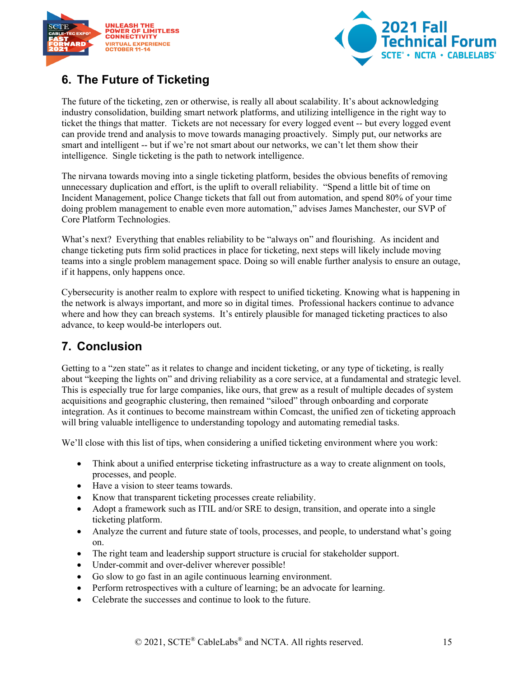



## <span id="page-14-0"></span>**6. The Future of Ticketing**

The future of the ticketing, zen or otherwise, is really all about scalability. It's about acknowledging industry consolidation, building smart network platforms, and utilizing intelligence in the right way to ticket the things that matter. Tickets are not necessary for every logged event -- but every logged event can provide trend and analysis to move towards managing proactively. Simply put, our networks are smart and intelligent -- but if we're not smart about our networks, we can't let them show their intelligence. Single ticketing is the path to network intelligence.

The nirvana towards moving into a single ticketing platform, besides the obvious benefits of removing unnecessary duplication and effort, is the uplift to overall reliability. "Spend a little bit of time on Incident Management, police Change tickets that fall out from automation, and spend 80% of your time doing problem management to enable even more automation," advises James Manchester, our SVP of Core Platform Technologies.

What's next? Everything that enables reliability to be "always on" and flourishing. As incident and change ticketing puts firm solid practices in place for ticketing, next steps will likely include moving teams into a single problem management space. Doing so will enable further analysis to ensure an outage, if it happens, only happens once.

Cybersecurity is another realm to explore with respect to unified ticketing. Knowing what is happening in the network is always important, and more so in digital times. Professional hackers continue to advance where and how they can breach systems. It's entirely plausible for managed ticketing practices to also advance, to keep would-be interlopers out.

### <span id="page-14-1"></span>**7. Conclusion**

Getting to a "zen state" as it relates to change and incident ticketing, or any type of ticketing, is really about "keeping the lights on" and driving reliability as a core service, at a fundamental and strategic level. This is especially true for large companies, like ours, that grew as a result of multiple decades of system acquisitions and geographic clustering, then remained "siloed" through onboarding and corporate integration. As it continues to become mainstream within Comcast, the unified zen of ticketing approach will bring valuable intelligence to understanding topology and automating remedial tasks.

We'll close with this list of tips, when considering a unified ticketing environment where you work:

- Think about a unified enterprise ticketing infrastructure as a way to create alignment on tools, processes, and people.
- Have a vision to steer teams towards.
- Know that transparent ticketing processes create reliability.
- Adopt a framework such as ITIL and/or SRE to design, transition, and operate into a single ticketing platform.
- Analyze the current and future state of tools, processes, and people, to understand what's going on.
- The right team and leadership support structure is crucial for stakeholder support.
- Under-commit and over-deliver wherever possible!
- Go slow to go fast in an agile continuous learning environment.
- Perform retrospectives with a culture of learning; be an advocate for learning.
- Celebrate the successes and continue to look to the future.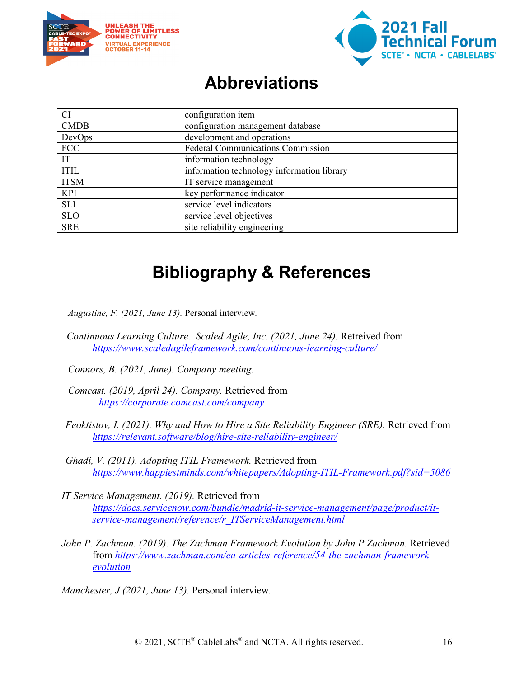



# **Abbreviations**

<span id="page-15-0"></span>

| <b>CI</b><br>configuration item                        |                                            |  |  |  |  |
|--------------------------------------------------------|--------------------------------------------|--|--|--|--|
| <b>CMDB</b><br>configuration management database       |                                            |  |  |  |  |
| development and operations<br>DevOps                   |                                            |  |  |  |  |
| <b>Federal Communications Commission</b><br><b>FCC</b> |                                            |  |  |  |  |
| IT                                                     | information technology                     |  |  |  |  |
| <b>ITIL</b>                                            | information technology information library |  |  |  |  |
| <b>ITSM</b>                                            | IT service management                      |  |  |  |  |
| <b>KPI</b>                                             | key performance indicator                  |  |  |  |  |
| SLI                                                    | service level indicators                   |  |  |  |  |
| <b>SLO</b>                                             | service level objectives                   |  |  |  |  |
| <b>SRE</b>                                             | site reliability engineering               |  |  |  |  |

# **Bibliography & References**

- <span id="page-15-1"></span>*Augustine, F. (2021, June 13).* Personal interview*.*
- *Continuous Learning Culture. Scaled Agile, Inc. (2021, June 24).* Retreived from *<https://www.scaledagileframework.com/continuous-learning-culture/>*
- *Connors, B. (2021, June). Company meeting.*
- *Comcast. (2019, April 24). Company.* Retrieved from *<https://corporate.comcast.com/company>*
- *Feoktistov, I. (2021). Why and How to Hire a Site Reliability Engineer (SRE).* Retrieved from *<https://relevant.software/blog/hire-site-reliability-engineer/>*
- *Ghadi, V. (2011). Adopting ITIL Framework.* Retrieved from *<https://www.happiestminds.com/whitepapers/Adopting-ITIL-Framework.pdf?sid=5086>*
- *IT Service Management. (2019).* Retrieved from *[https://docs.servicenow.com/bundle/madrid-it-service-management/page/product/it](https://docs.servicenow.com/bundle/madrid-it-service-management/page/product/it-service-management/reference/r_ITServiceManagement.html)[service-management/reference/r\\_ITServiceManagement.html](https://docs.servicenow.com/bundle/madrid-it-service-management/page/product/it-service-management/reference/r_ITServiceManagement.html)*
- John P. Zachman. (2019). The Zachman Framework Evolution by John P Zachman. Retrieved from *[https://www.zachman.com/ea-articles-reference/54-the-zachman-framework](https://www.zachman.com/ea-articles-reference/54-the-zachman-framework-evolution)[evolution](https://www.zachman.com/ea-articles-reference/54-the-zachman-framework-evolution)*

*Manchester, J (2021, June 13).* Personal interview*.*